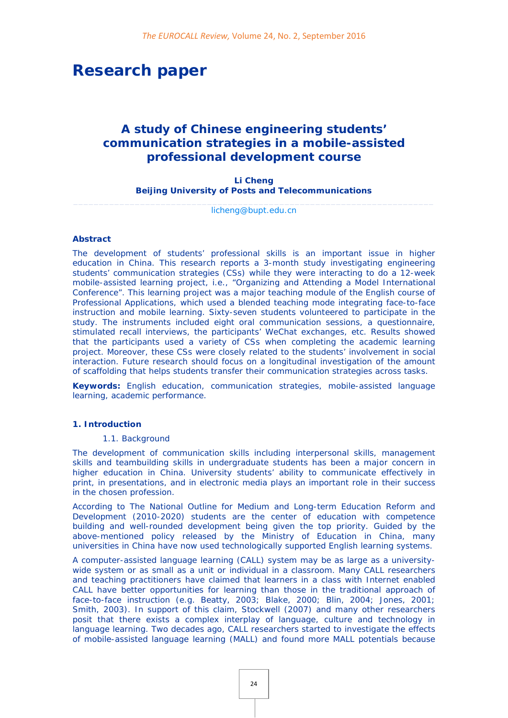# **Research paper**

## *A study of Chinese engineering students' communication strategies in a mobile-assisted professional development course*

**Li Cheng Beijing University of Posts and Telecommunications**

\_\_\_\_\_\_\_\_\_\_\_\_\_\_\_\_\_\_\_\_\_\_\_\_\_\_\_\_\_\_\_\_\_\_\_\_\_\_\_\_\_\_\_\_\_\_\_\_\_\_\_\_\_\_\_\_\_\_\_\_\_\_\_\_\_\_\_\_\_\_ [licheng@bupt.edu.cn](mailto:licheng@bupt.edu.cn)

#### **Abstract**

The development of students' professional skills is an important issue in higher education in China. This research reports a 3-month study investigating engineering students' communication strategies (CSs) while they were interacting to do a 12-week mobile-assisted learning project, i.e., "Organizing and Attending a Model International Conference". This learning project was a major teaching module of the English course of Professional Applications, which used a blended teaching mode integrating face-to-face instruction and mobile learning. Sixty-seven students volunteered to participate in the study. The instruments included eight oral communication sessions, a questionnaire, stimulated recall interviews, the participants' WeChat exchanges, etc. Results showed that the participants used a variety of CSs when completing the academic learning project. Moreover, these CSs were closely related to the students' involvement in social interaction. Future research should focus on a longitudinal investigation of the amount of scaffolding that helps students transfer their communication strategies across tasks.

**Keywords:** English education, communication strategies, mobile-assisted language learning, academic performance.

#### **1. Introduction**

#### *1.1. Background*

The development of communication skills including interpersonal skills, management skills and teambuilding skills in undergraduate students has been a major concern in higher education in China. University students' ability to communicate effectively in print, in presentations, and in electronic media plays an important role in their success in the chosen profession.

According to *The National Outline for Medium and Long-term Education Reform and Development (2010-2020)* students are the center of education with competence building and well-rounded development being given the top priority. Guided by the above-mentioned policy released by the Ministry of Education in China, many universities in China have now used technologically supported English learning systems.

A computer-assisted language learning (CALL) system may be as large as a universitywide system or as small as a unit or individual in a classroom. Many CALL researchers and teaching practitioners have claimed that learners in a class with Internet enabled CALL have better opportunities for learning than those in the traditional approach of face-to-face instruction (e.g. Beatty, 2003; Blake, 2000; Blin, 2004; Jones, 2001; Smith, 2003). In support of this claim, Stockwell (2007) and many other researchers posit that there exists a complex interplay of language, culture and technology in language learning. Two decades ago, CALL researchers started to investigate the effects of mobile-assisted language learning (MALL) and found more MALL potentials because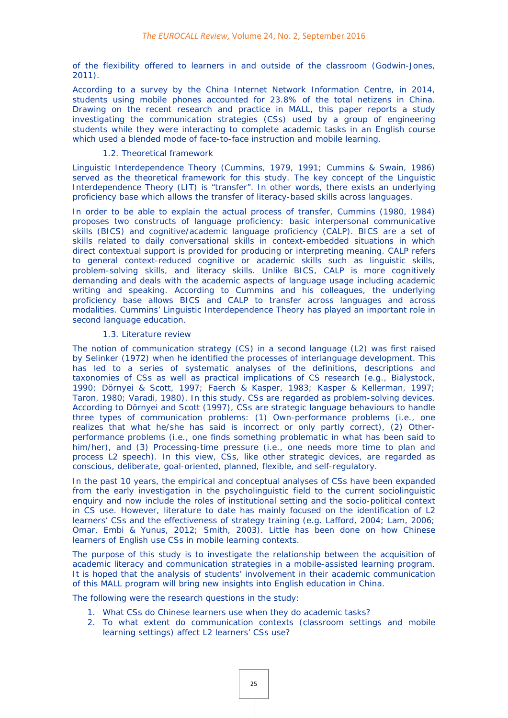of the flexibility offered to learners in and outside of the classroom (Godwin-Jones, 2011).

According to a survey by the China Internet Network Information Centre, in 2014, students using mobile phones accounted for 23.8% of the total netizens in China. Drawing on the recent research and practice in MALL, this paper reports a study investigating the communication strategies (CSs) used by a group of engineering students while they were interacting to complete academic tasks in an English course which used a blended mode of face-to-face instruction and mobile learning.

#### *1.2. Theoretical framework*

Linguistic Interdependence Theory (Cummins, 1979, 1991; Cummins & Swain, 1986) served as the theoretical framework for this study. The key concept of the Linguistic Interdependence Theory (LIT) is "transfer". In other words, there exists an underlying proficiency base which allows the transfer of literacy-based skills across languages.

In order to be able to explain the actual process of transfer, Cummins (1980, 1984) proposes two constructs of language proficiency: basic interpersonal communicative skills (BICS) and cognitive/academic language proficiency (CALP). BICS are a set of skills related to daily conversational skills in context-embedded situations in which direct contextual support is provided for producing or interpreting meaning. CALP refers to general context-reduced cognitive or academic skills such as linguistic skills, problem-solving skills, and literacy skills. Unlike BICS, CALP is more cognitively demanding and deals with the academic aspects of language usage including academic writing and speaking. According to Cummins and his colleagues, the underlying proficiency base allows BICS and CALP to transfer across languages and across modalities. Cummins' Linguistic Interdependence Theory has played an important role in second language education.

## *1.3. Literature review*

The notion of communication strategy (CS) in a second language (L2) was first raised by Selinker (1972) when he identified the processes of interlanguage development. This has led to a series of systematic analyses of the definitions, descriptions and taxonomies of CSs as well as practical implications of CS research (e.g., Bialystock, 1990; Dörnyei & Scott, 1997; Faerch & Kasper, 1983; Kasper & Kellerman, 1997; Taron, 1980; Varadi, 1980). In this study, CSs are regarded as problem-solving devices. According to Dörnyei and Scott (1997), CSs are strategic language behaviours to handle three types of communication problems: (1) Own-performance problems (i.e., one realizes that what he/she has said is incorrect or only partly correct), (2) Otherperformance problems (i.e., one finds something problematic in what has been said to him/her), and (3) Processing-time pressure (i.e., one needs more time to plan and process L2 speech). In this view, CSs, like other strategic devices, are regarded as conscious, deliberate, goal-oriented, planned, flexible, and self-regulatory*.*

In the past 10 years, the empirical and conceptual analyses of CSs have been expanded from the early investigation in the psycholinguistic field to the current sociolinguistic enquiry and now include the roles of institutional setting and the socio-political context in CS use. However, literature to date has mainly focused on the identification of L2 learners' CSs and the effectiveness of strategy training (e.g. Lafford, 2004; Lam, 2006; Omar, Embi & Yunus, 2012; Smith, 2003). Little has been done on how Chinese learners of English use CSs in mobile learning contexts.

The purpose of this study is to investigate the relationship between the acquisition of academic literacy and communication strategies in a mobile-assisted learning program. It is hoped that the analysis of students' involvement in their academic communication of this MALL program will bring new insights into English education in China.

The following were the research questions in the study:

- 1. What CSs do Chinese learners use when they do academic tasks?
- 2. To what extent do communication contexts (classroom settings and mobile learning settings) affect L2 learners' CSs use?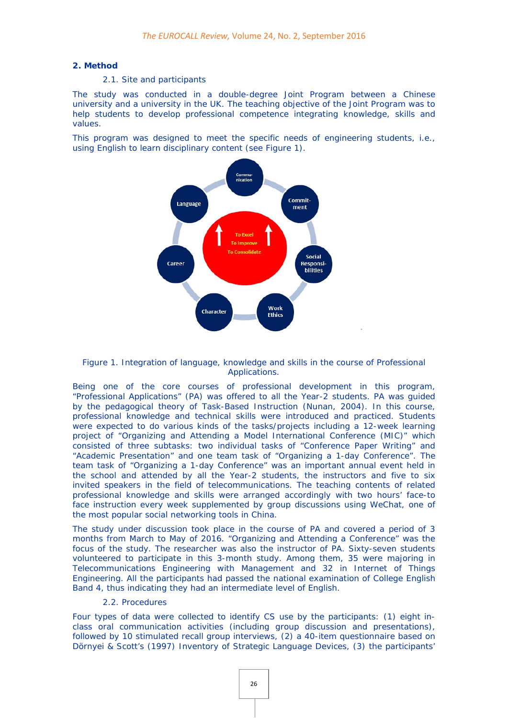#### **2. Method**

#### *2.1. Site and participants*

The study was conducted in a double-degree Joint Program between a Chinese university and a university in the UK. The teaching objective of the Joint Program was to help students to develop professional competence integrating knowledge, skills and values.

This program was designed to meet the specific needs of engineering students, i.e., using English to learn disciplinary content (see Figure 1).



#### Figure 1. Integration of language, knowledge and skills in the course of Professional Applications.

Being one of the core courses of professional development in this program, "Professional Applications" (PA) was offered to all the Year-2 students. PA was guided by the pedagogical theory of Task-Based Instruction (Nunan, 2004). In this course, professional knowledge and technical skills were introduced and practiced. Students were expected to do various kinds of the tasks/projects including a 12-week learning project of "Organizing and Attending a Model International Conference (MIC)" which consisted of three subtasks: two individual tasks of "Conference Paper Writing" and "Academic Presentation" and one team task of "Organizing a 1-day Conference". The team task of "Organizing a 1-day Conference" was an important annual event held in the school and attended by all the Year-2 students, the instructors and five to six invited speakers in the field of telecommunications. The teaching contents of related professional knowledge and skills were arranged accordingly with two hours' face-to face instruction every week supplemented by group discussions using WeChat, one of the most popular social networking tools in China.

The study under discussion took place in the course of PA and covered a period of 3 months from March to May of 2016. "Organizing and Attending a Conference" was the focus of the study. The researcher was also the instructor of PA. Sixty-seven students volunteered to participate in this 3-month study. Among them, 35 were majoring in Telecommunications Engineering with Management and 32 in Internet of Things Engineering. All the participants had passed the national examination of College English Band 4, thus indicating they had an intermediate level of English.

## *2.2. Procedures*

Four types of data were collected to identify CS use by the participants: (1) eight inclass oral communication activities (including group discussion and presentations), followed by 10 stimulated recall group interviews, (2) a 40-item questionnaire based on Dörnyei & Scott's (1997) Inventory of Strategic Language Devices, (3) the participants'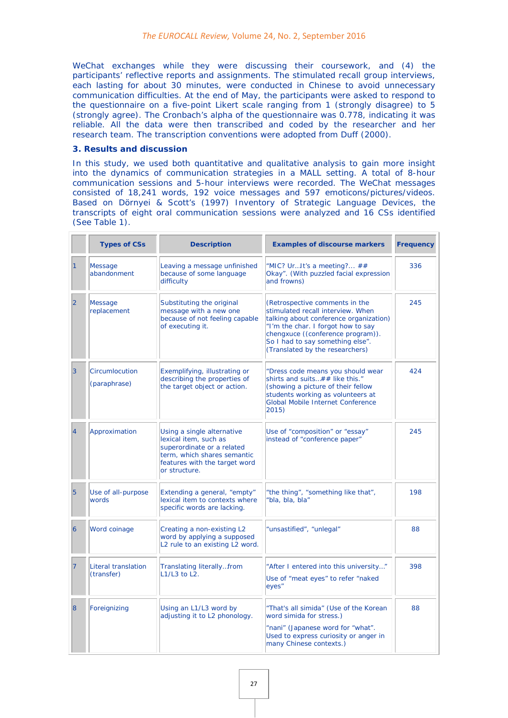WeChat exchanges while they were discussing their coursework, and (4) the participants' reflective reports and assignments. The stimulated recall group interviews, each lasting for about 30 minutes, were conducted in Chinese to avoid unnecessary communication difficulties. At the end of May, the participants were asked to respond to the questionnaire on a five-point Likert scale ranging from 1 (strongly disagree) to 5 (strongly agree). The Cronbach's alpha of the questionnaire was 0.778, indicating it was reliable. All the data were then transcribed and coded by the researcher and her research team. The transcription conventions were adopted from Duff (2000).

#### **3. Results and discussion**

In this study, we used both quantitative and qualitative analysis to gain more insight into the dynamics of communication strategies in a MALL setting. A total of 8-hour communication sessions and 5-hour interviews were recorded. The WeChat messages consisted of 18,241 words, 192 voice messages and 597 emoticons/pictures/videos. Based on Dörnyei & Scott's (1997) Inventory of Strategic Language Devices, the transcripts of eight oral communication sessions were analyzed and 16 CSs identified (See Table 1).

|                | <b>Types of CSs</b>               | <b>Description</b>                                                                                                                                                 | <b>Examples of discourse markers</b>                                                                                                                                                                                                                            | <b>Frequency</b> |
|----------------|-----------------------------------|--------------------------------------------------------------------------------------------------------------------------------------------------------------------|-----------------------------------------------------------------------------------------------------------------------------------------------------------------------------------------------------------------------------------------------------------------|------------------|
|                | <b>Message</b><br>abandonment     | Leaving a message unfinished<br>because of some language<br>difficulty                                                                                             | "MIC? UrIt's a meeting? ##<br>Okay". (With puzzled facial expression<br>and frowns)                                                                                                                                                                             | 336              |
| $\overline{2}$ | <b>Message</b><br>replacement     | Substituting the original<br>message with a new one<br>because of not feeling capable<br>of executing it.                                                          | (Retrospective comments in the<br>stimulated recall interview. When<br>talking about conference organization)<br>"I'm the char. I forgot how to say<br>chengxuce ((conference program)).<br>So I had to say something else".<br>(Translated by the researchers) | 245              |
| $\overline{3}$ | Circumlocution<br>(paraphrase)    | Exemplifying, illustrating or<br>describing the properties of<br>the target object or action.                                                                      | "Dress code means you should wear<br>shirts and suits## like this."<br>(showing a picture of their fellow<br>students working as volunteers at<br>Global Mobile Internet Conference<br>2015)                                                                    | 424              |
| $\overline{4}$ | Approximation                     | Using a single alternative<br>lexical item, such as<br>superordinate or a related<br>term, which shares semantic<br>features with the target word<br>or structure. | Use of "composition" or "essay"<br>instead of "conference paper"                                                                                                                                                                                                | 245              |
| 5              | Use of all-purpose<br>words       | Extending a general, "empty"<br>lexical item to contexts where<br>specific words are lacking.                                                                      | "the thing", "something like that",<br>'bla, bla, bla"                                                                                                                                                                                                          | 198              |
| $\overline{6}$ | Word coinage                      | Creating a non-existing L2<br>word by applying a supposed<br>L2 rule to an existing L2 word.                                                                       | "unsastified", "unlegal"                                                                                                                                                                                                                                        | 88               |
| 7              | Literal translation<br>(transfer) | Translating literallyfrom<br>L1/L3 to L2.                                                                                                                          | "After I entered into this university"<br>Use of "meat eyes" to refer "naked<br>eyes"                                                                                                                                                                           | 398              |
| 8              | Foreignizing                      | Using an L1/L3 word by<br>adjusting it to L2 phonology.                                                                                                            | "That's all simida" (Use of the Korean<br>word simida for stress.)<br>"nani" (Japanese word for "what".<br>Used to express curiosity or anger in<br>many Chinese contexts.)                                                                                     | 88               |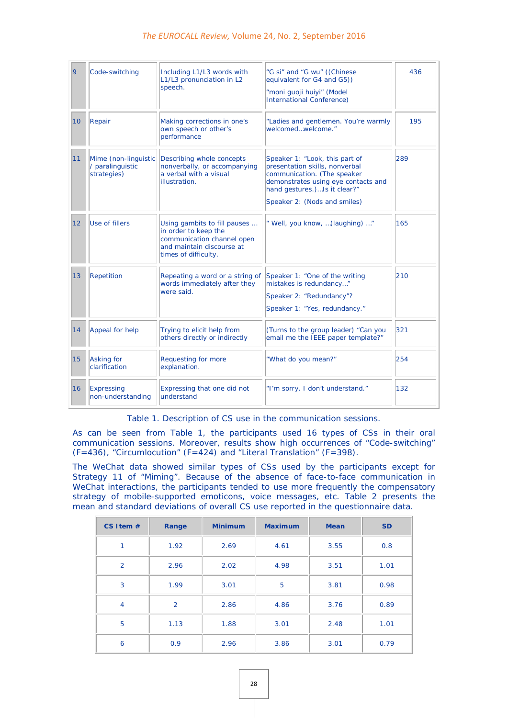## *The EUROCALL Review,* Volume 24, No. 2, September 2016

| <b>9</b>        | Code-switching                                          | Including L1/L3 words with<br>L1/L3 pronunciation in L2<br>speech.                                                                      | "G si" and "G wu" ((Chinese<br>equivalent for G4 and G5))<br>"moni guoji huiyi" (Model<br><b>International Conference)</b>                                                                             | 436 |
|-----------------|---------------------------------------------------------|-----------------------------------------------------------------------------------------------------------------------------------------|--------------------------------------------------------------------------------------------------------------------------------------------------------------------------------------------------------|-----|
| 10 <sup>1</sup> | Repair                                                  | Making corrections in one's<br>own speech or other's<br>performance                                                                     | "Ladies and gentlemen. You're warmly<br>welcomedwelcome."                                                                                                                                              | 195 |
| 11              | Mime (non-linguistic<br>/ paralinguistic<br>strategies) | Describing whole concepts<br>nonverbally, or accompanying<br>a verbal with a visual<br><b>illustration</b>                              | Speaker 1: "Look, this part of<br>presentation skills, nonverbal<br>communication. (The speaker<br>demonstrates using eye contacts and<br>hand gestures.)Is it clear?"<br>Speaker 2: (Nods and smiles) | 289 |
| 12              | Use of fillers                                          | Using gambits to fill pauses<br>in order to keep the<br>communication channel open<br>and maintain discourse at<br>times of difficulty. | " Well, you know,  (laughing) "                                                                                                                                                                        | 165 |
| 13              | Repetition                                              | Repeating a word or a string of<br>words immediately after they<br>were said.                                                           | Speaker 1: "One of the writing<br>mistakes is redundancy"<br>Speaker 2: "Redundancy"?<br>Speaker 1: "Yes, redundancy."                                                                                 | 210 |
| 14              | Appeal for help                                         | Trying to elicit help from<br>others directly or indirectly                                                                             | (Turns to the group leader) "Can you<br>email me the IEEE paper template?"                                                                                                                             | 321 |
| 15              | <b>Asking for</b><br>clarification                      | Requesting for more<br>explanation.                                                                                                     | "What do you mean?"                                                                                                                                                                                    | 254 |
| 16              | <b>Expressing</b><br>non-understanding                  | Expressing that one did not<br>understand                                                                                               | "I'm sorry. I don't understand."                                                                                                                                                                       | 132 |

Table 1. Description of CS use in the communication sessions.

As can be seen from Table 1, the participants used 16 types of CSs in their oral communication sessions. Moreover, results show high occurrences of "Code-switching"  $(F=436)$ , "Circumlocution" (F=424) and "Literal Translation" (F=398).

The WeChat data showed similar types of CSs used by the participants except for Strategy 11 of "Miming". Because of the absence of face-to-face communication in WeChat interactions, the participants tended to use more frequently the compensatory strategy of mobile-supported emoticons, voice messages, etc. Table 2 presents the mean and standard deviations of overall CS use reported in the questionnaire data.

| CS Item $#$ | Range          | <b>Minimum</b> | <b>Maximum</b> | <b>Mean</b> | <b>SD</b> |
|-------------|----------------|----------------|----------------|-------------|-----------|
| 1           | 1.92           | 2.69           | 4.61           | 3.55        | 0.8       |
| 2           | 2.96           | 2.02           | 4.98           | 3.51        | 1.01      |
| 3           | 1.99           | 3.01           | 5              | 3.81        | 0.98      |
| 4           | $\overline{2}$ | 2.86           | 4.86           | 3.76        | 0.89      |
| 5           | 1.13           | 1.88           | 3.01           | 2.48        | 1.01      |
| 6           | 0.9            | 2.96           | 3.86           | 3.01        | 0.79      |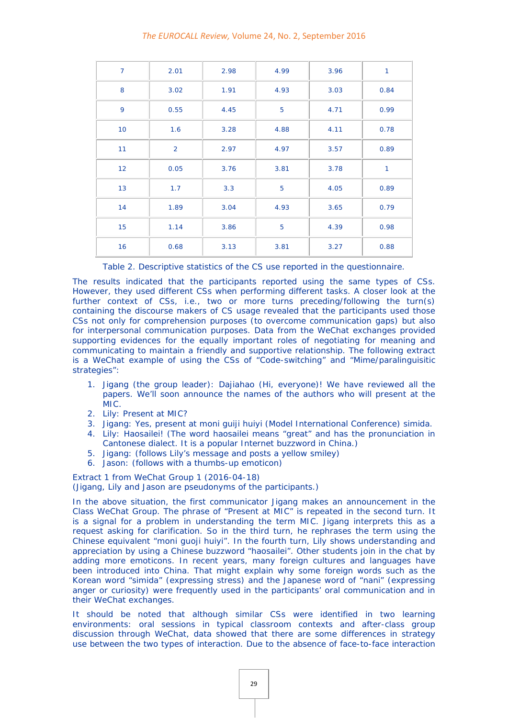#### *The EUROCALL Review,* Volume 24, No. 2, September 2016

| $\overline{7}$  | 2.01           | 2.98 | 4.99 | 3.96 | $\mathbf{1}$ |
|-----------------|----------------|------|------|------|--------------|
| 8               | 3.02           | 1.91 | 4.93 | 3.03 | 0.84         |
| 9               | 0.55           | 4.45 | 5    | 4.71 | 0.99         |
| 10 <sup>°</sup> | 1.6            | 3.28 | 4.88 | 4.11 | 0.78         |
| 11              | $\overline{2}$ | 2.97 | 4.97 | 3.57 | 0.89         |
| 12 <sub>2</sub> | 0.05           | 3.76 | 3.81 | 3.78 | $\mathbf{1}$ |
| 13              | 1.7            | 3.3  | 5    | 4.05 | 0.89         |
| 14              | 1.89           | 3.04 | 4.93 | 3.65 | 0.79         |
| 15              | 1.14           | 3.86 | 5    | 4.39 | 0.98         |
| 16              | 0.68           | 3.13 | 3.81 | 3.27 | 0.88         |

Table 2. Descriptive statistics of the CS use reported in the questionnaire.

The results indicated that the participants reported using the same types of CSs. However, they used different CSs when performing different tasks. A closer look at the further context of CSs, i.e., two or more turns preceding/following the turn(s) containing the discourse makers of CS usage revealed that the participants used those CSs not only for comprehension purposes (to overcome communication gaps) but also for interpersonal communication purposes. Data from the WeChat exchanges provided supporting evidences for the equally important roles of negotiating for meaning and communicating to maintain a friendly and supportive relationship. The following extract is a WeChat example of using the CSs of "Code-switching" and "Mime/paralinguisitic strategies":

- 1. Jigang (the group leader): *Dajiahao* (*Hi, everyone*)! We have reviewed all the papers. We'll soon announce the names of the authors who will present at the MIC.
- 2. Lily: Present at MIC?
- 3. Jigang: Yes, present at moni guiji huiyi (*Model International Conference)* simida.
- 4. Lily: Haosailei! (The word haosailei means "great" and has the pronunciation in Cantonese dialect. It is a popular Internet buzzword in China.)
- 5. Jigang: (follows Lily's message and posts a yellow smiley)
- 6. Jason: (follows with a thumbs-up emoticon)

Extract 1 from WeChat Group 1 (2016-04-18)

(Jigang, Lily and Jason are pseudonyms of the participants.)

In the above situation, the first communicator Jigang makes an announcement in the Class WeChat Group. The phrase of "Present at MIC" is repeated in the second turn. It is a signal for a problem in understanding the term MIC. Jigang interprets this as a request asking for clarification. So in the third turn, he rephrases the term using the Chinese equivalent "moni guoji huiyi". In the fourth turn, Lily shows understanding and appreciation by using a Chinese buzzword "haosailei". Other students join in the chat by adding more emoticons. In recent years, many foreign cultures and languages have been introduced into China. That might explain why some foreign words such as the Korean word "simida" (expressing stress) and the Japanese word of "nani" (expressing anger or curiosity) were frequently used in the participants' oral communication and in their WeChat exchanges.

It should be noted that although similar CSs were identified in two learning environments: oral sessions in typical classroom contexts and after-class group discussion through WeChat, data showed that there are some differences in strategy use between the two types of interaction. Due to the absence of face-to-face interaction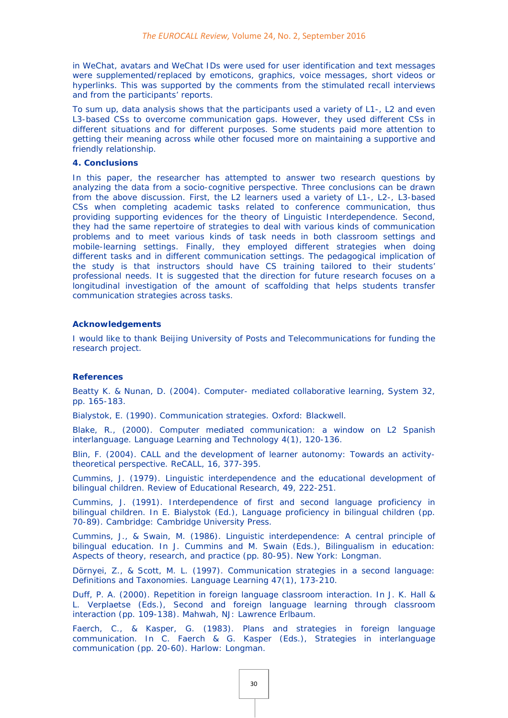in WeChat, avatars and WeChat IDs were used for user identification and text messages were supplemented/replaced by emoticons, graphics, voice messages, short videos or hyperlinks. This was supported by the comments from the stimulated recall interviews and from the participants' reports.

To sum up, data analysis shows that the participants used a variety of L1-, L2 and even L3-based CSs to overcome communication gaps. However, they used different CSs in different situations and for different purposes. Some students paid more attention to getting their meaning across while other focused more on maintaining a supportive and friendly relationship.

#### **4. Conclusions**

In this paper, the researcher has attempted to answer two research questions by analyzing the data from a socio-cognitive perspective. Three conclusions can be drawn from the above discussion. First, the L2 learners used a variety of L1-, L2-, L3-based CSs when completing academic tasks related to conference communication, thus providing supporting evidences for the theory of Linguistic Interdependence. Second, they had the same repertoire of strategies to deal with various kinds of communication problems and to meet various kinds of task needs in both classroom settings and mobile-learning settings. Finally, they employed different strategies when doing different tasks and in different communication settings. The pedagogical implication of the study is that instructors should have CS training tailored to their students' professional needs. It is suggested that the direction for future research focuses on a longitudinal investigation of the amount of scaffolding that helps students transfer communication strategies across tasks.

#### **Acknowledgements**

I would like to thank Beijing University of Posts and Telecommunications for funding the research project.

#### **References**

Beatty K. & Nunan, D. (2004). Computer- mediated collaborative learning, *System 32*, pp. 165-183.

Bialystok, E. (1990). *Communication strategies.* Oxford: Blackwell.

Blake, R., (2000). Computer mediated communication: a window on L2 Spanish interlanguage. *Language Learning and Technology 4*(1), 120-136.

Blin, F. (2004). CALL and the development of learner autonomy: Towards an activitytheoretical perspective. *ReCALL,* 16, 377-395.

Cummins, J. (1979). Linguistic interdependence and the educational development of bilingual children. *Review of Educational Research, 49*, 222-251.

Cummins, J. (1991). Interdependence of first and second language proficiency in bilingual children. In E. Bialystok (Ed.), *Language proficiency in bilingual children* (pp. 70-89). Cambridge: Cambridge University Press.

Cummins, J., & Swain, M. (1986). Linguistic interdependence: A central principle of bilingual education. In J. Cummins and M. Swain (Eds.), *Bilingualism in education: Aspects of theory, research, and practice* (pp. 80-95). New York: Longman.

Dörnyei, Z., & Scott, M. L. (1997). Communication strategies in a second language: Definitions and Taxonomies. *Language Learning 47*(1), 173-210.

Duff, P. A. (2000). Repetition in foreign language classroom interaction. In J. K. Hall & L. Verplaetse (Eds.), *Second and foreign language learning through classroom interaction* (pp. 109-138). Mahwah, NJ: Lawrence Erlbaum.

Faerch, C., & Kasper, G. (1983). Plans and strategies in foreign language communication. In C. Faerch & G. Kasper (Eds.), *Strategies in interlanguage communication* (pp. 20-60). Harlow: Longman.